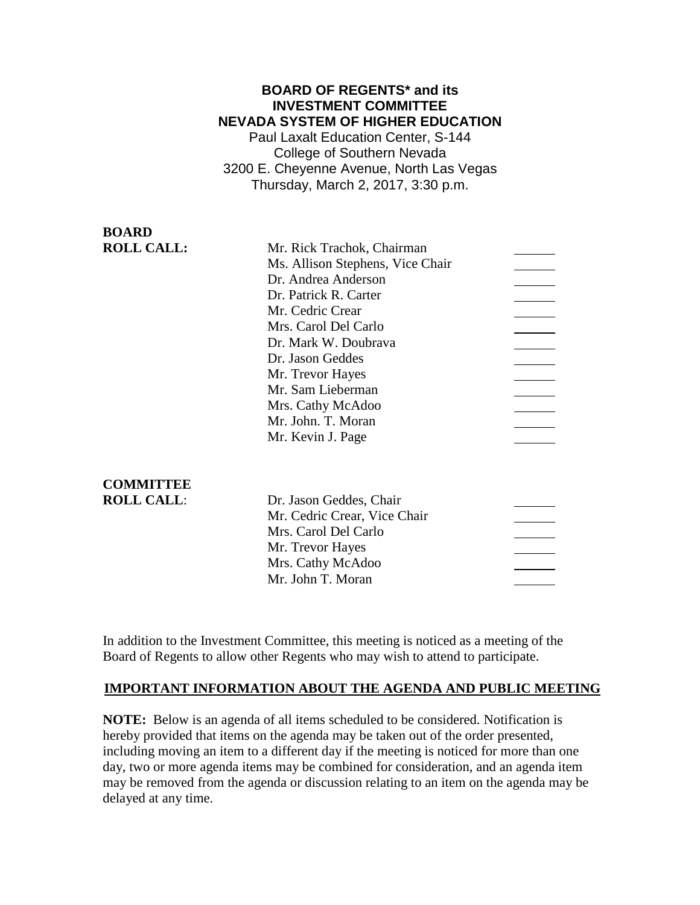### **BOARD OF REGENTS\* and its INVESTMENT COMMITTEE NEVADA SYSTEM OF HIGHER EDUCATION** Paul Laxalt Education Center, S-144

College of Southern Nevada 3200 E. Cheyenne Avenue, North Las Vegas Thursday, March 2, 2017, 3:30 p.m.

**BOARD ROLL CALL:** 

| Mr. Rick Trachok, Chairman       |  |
|----------------------------------|--|
| Ms. Allison Stephens, Vice Chair |  |
| Dr. Andrea Anderson              |  |
| Dr. Patrick R. Carter            |  |
| Mr. Cedric Crear                 |  |
| Mrs. Carol Del Carlo             |  |
| Dr. Mark W. Doubrava             |  |
| Dr. Jason Geddes                 |  |
| Mr. Trevor Hayes                 |  |
| Mr. Sam Lieberman                |  |
| Mrs. Cathy McAdoo                |  |
| Mr. John. T. Moran               |  |
| Mr. Kevin J. Page                |  |
|                                  |  |

### **COMMITTEE ROLL CALL:**

In addition to the Investment Committee, this meeting is noticed as a meeting of the Board of Regents to allow other Regents who may wish to attend to participate.

# **IMPORTANT INFORMATION ABOUT THE AGENDA AND PUBLIC MEETING**

**NOTE:** Below is an agenda of all items scheduled to be considered. Notification is hereby provided that items on the agenda may be taken out of the order presented, including moving an item to a different day if the meeting is noticed for more than one day, two or more agenda items may be combined for consideration, and an agenda item may be removed from the agenda or discussion relating to an item on the agenda may be delayed at any time.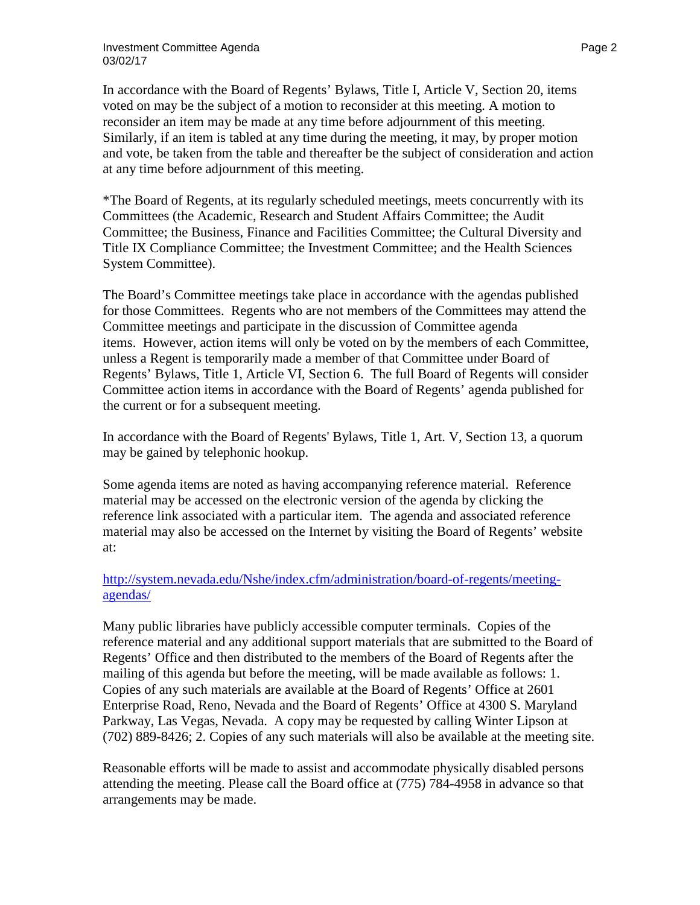In accordance with the Board of Regents' Bylaws, Title I, Article V, Section 20, items voted on may be the subject of a motion to reconsider at this meeting. A motion to reconsider an item may be made at any time before adjournment of this meeting. Similarly, if an item is tabled at any time during the meeting, it may, by proper motion and vote, be taken from the table and thereafter be the subject of consideration and action at any time before adjournment of this meeting.

\*The Board of Regents, at its regularly scheduled meetings, meets concurrently with its Committees (the Academic, Research and Student Affairs Committee; the Audit Committee; the Business, Finance and Facilities Committee; the Cultural Diversity and Title IX Compliance Committee; the Investment Committee; and the Health Sciences System Committee).

The Board's Committee meetings take place in accordance with the agendas published for those Committees. Regents who are not members of the Committees may attend the Committee meetings and participate in the discussion of Committee agenda items. However, action items will only be voted on by the members of each Committee, unless a Regent is temporarily made a member of that Committee under Board of Regents' Bylaws, Title 1, Article VI, Section 6. The full Board of Regents will consider Committee action items in accordance with the Board of Regents' agenda published for the current or for a subsequent meeting.

In accordance with the Board of Regents' Bylaws, Title 1, Art. V, Section 13, a quorum may be gained by telephonic hookup.

Some agenda items are noted as having accompanying reference material. Reference material may be accessed on the electronic version of the agenda by clicking the reference link associated with a particular item. The agenda and associated reference material may also be accessed on the Internet by visiting the Board of Regents' website at:

### [http://system.nevada.edu/Nshe/index.cfm/administration/board-of-regents/meeting](http://system.nevada.edu/Nshe/index.cfm/administration/board-of-regents/meeting-agendas/)[agendas/](http://system.nevada.edu/Nshe/index.cfm/administration/board-of-regents/meeting-agendas/)

Many public libraries have publicly accessible computer terminals. Copies of the reference material and any additional support materials that are submitted to the Board of Regents' Office and then distributed to the members of the Board of Regents after the mailing of this agenda but before the meeting, will be made available as follows: 1. Copies of any such materials are available at the Board of Regents' Office at 2601 Enterprise Road, Reno, Nevada and the Board of Regents' Office at 4300 S. Maryland Parkway, Las Vegas, Nevada. A copy may be requested by calling Winter Lipson at (702) 889-8426; 2. Copies of any such materials will also be available at the meeting site.

Reasonable efforts will be made to assist and accommodate physically disabled persons attending the meeting. Please call the Board office at (775) 784-4958 in advance so that arrangements may be made.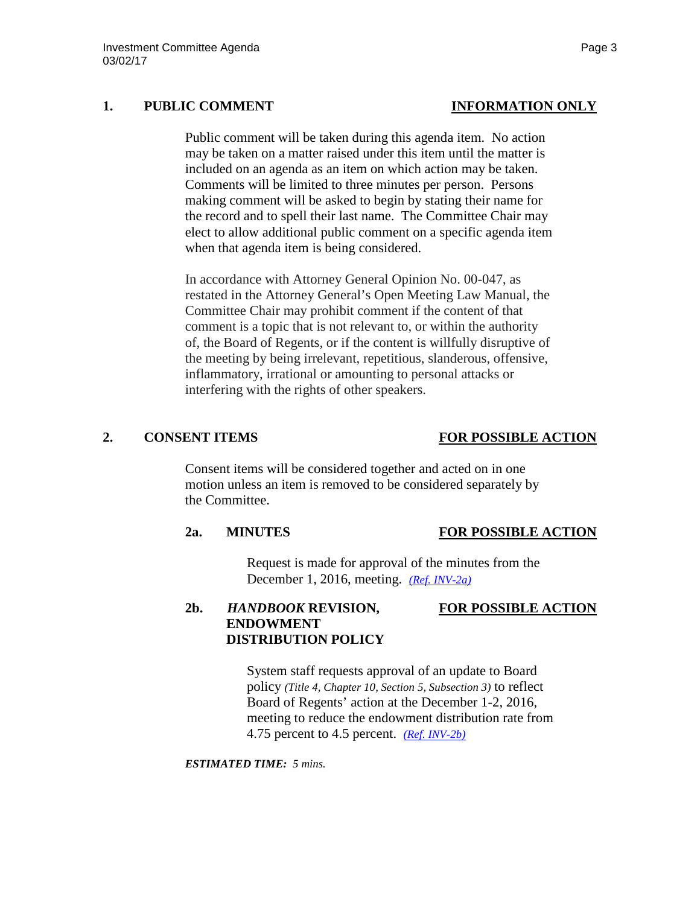### **1. PUBLIC COMMENT INFORMATION ONLY**

Public comment will be taken during this agenda item. No action may be taken on a matter raised under this item until the matter is included on an agenda as an item on which action may be taken. Comments will be limited to three minutes per person. Persons making comment will be asked to begin by stating their name for the record and to spell their last name. The Committee Chair may elect to allow additional public comment on a specific agenda item when that agenda item is being considered.

In accordance with Attorney General Opinion No. 00-047, as restated in the Attorney General's Open Meeting Law Manual, the Committee Chair may prohibit comment if the content of that comment is a topic that is not relevant to, or within the authority of, the Board of Regents, or if the content is willfully disruptive of the meeting by being irrelevant, repetitious, slanderous, offensive, inflammatory, irrational or amounting to personal attacks or interfering with the rights of other speakers.

### **2. CONSENT ITEMS FOR POSSIBLE ACTION**

Consent items will be considered together and acted on in one motion unless an item is removed to be considered separately by the Committee.

### **2a. MINUTES FOR POSSIBLE ACTION**

Request is made for approval of the minutes from the December 1, 2016, meeting. *[\(Ref. INV-2a\)](http://system.nevada.edu/tasks/sites/Nshe/assets/File/BoardOfRegents/Agendas/2017/mar-mtgs/inv-refs/INV-2a.pdf)*

## **2b.** *HANDBOOK* **REVISION, FOR POSSIBLE ACTION ENDOWMENT DISTRIBUTION POLICY**

System staff requests approval of an update to Board policy *(Title 4, Chapter 10, Section 5, Subsection 3)* to reflect Board of Regents' action at the December 1-2, 2016, meeting to reduce the endowment distribution rate from 4.75 percent to 4.5 percent. *[\(Ref. INV-2b\)](http://system.nevada.edu/tasks/sites/Nshe/assets/File/BoardOfRegents/Agendas/2017/mar-mtgs/inv-refs/INV-2b.pdf)*

*ESTIMATED TIME: 5 mins.*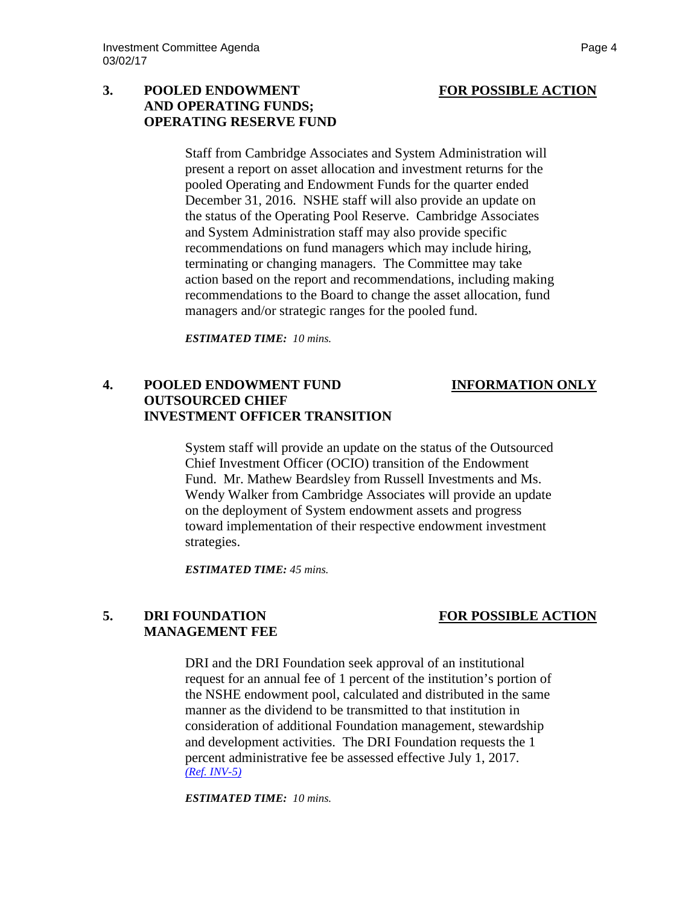### **3. POOLED ENDOWMENT FOR POSSIBLE ACTION AND OPERATING FUNDS; OPERATING RESERVE FUND**

Staff from Cambridge Associates and System Administration will present a report on asset allocation and investment returns for the pooled Operating and Endowment Funds for the quarter ended December 31, 2016. NSHE staff will also provide an update on the status of the Operating Pool Reserve. Cambridge Associates and System Administration staff may also provide specific recommendations on fund managers which may include hiring, terminating or changing managers. The Committee may take action based on the report and recommendations, including making recommendations to the Board to change the asset allocation, fund managers and/or strategic ranges for the pooled fund.

*ESTIMATED TIME: 10 mins.*

### **4. POOLED ENDOWMENT FUND INFORMATION ONLY OUTSOURCED CHIEF INVESTMENT OFFICER TRANSITION**

System staff will provide an update on the status of the Outsourced Chief Investment Officer (OCIO) transition of the Endowment Fund. Mr. Mathew Beardsley from Russell Investments and Ms. Wendy Walker from Cambridge Associates will provide an update on the deployment of System endowment assets and progress toward implementation of their respective endowment investment strategies.

*ESTIMATED TIME: 45 mins.*

## **5. DRI FOUNDATION FOR POSSIBLE ACTION MANAGEMENT FEE**

DRI and the DRI Foundation seek approval of an institutional request for an annual fee of 1 percent of the institution's portion of the NSHE endowment pool, calculated and distributed in the same manner as the dividend to be transmitted to that institution in consideration of additional Foundation management, stewardship and development activities. The DRI Foundation requests the 1 percent administrative fee be assessed effective July 1, 2017. *[\(Ref. INV-5\)](http://system.nevada.edu/tasks/sites/Nshe/assets/File/BoardOfRegents/Agendas/2017/mar-mtgs/inv-refs/INV-5.pdf)*

*ESTIMATED TIME: 10 mins.*